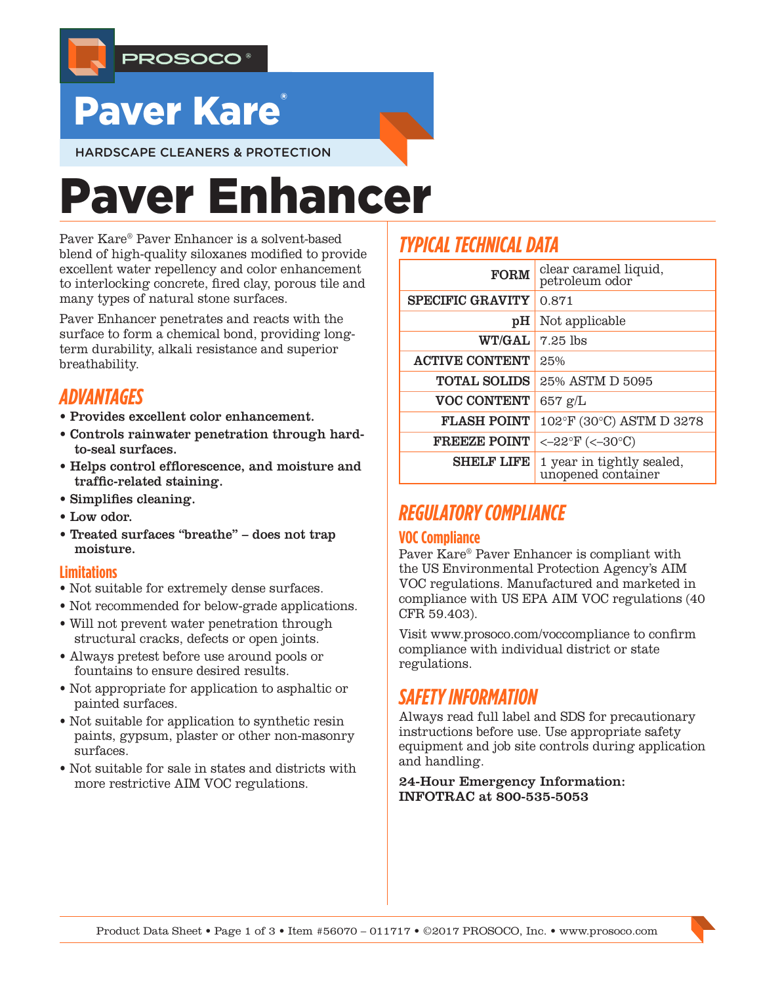

## Paver Kare

HARDSCAPE CLEANERS & PROTECTION

# Paver Enhancer

Paver Kare® Paver Enhancer is a solvent-based blend of high-quality siloxanes modified to provide excellent water repellency and color enhancement to interlocking concrete, fired clay, porous tile and many types of natural stone surfaces.

Paver Enhancer penetrates and reacts with the surface to form a chemical bond, providing longterm durability, alkali resistance and superior breathability.

## *ADVANTAGES*

- Provides excellent color enhancement.
- Controls rainwater penetration through hardto-seal surfaces.
- Helps control efflorescence, and moisture and traffic-related staining.
- Simplifies cleaning.
- Low odor.
- Treated surfaces "breathe" does not trap moisture.

#### **Limitations**

- Not suitable for extremely dense surfaces.
- Not recommended for below-grade applications.
- Will not prevent water penetration through structural cracks, defects or open joints.
- Always pretest before use around pools or fountains to ensure desired results.
- Not appropriate for application to asphaltic or painted surfaces.
- Not suitable for application to synthetic resin paints, gypsum, plaster or other non-masonry surfaces.
- Not suitable for sale in states and districts with more restrictive AIM VOC regulations.

## *TYPICAL TECHNICAL DATA*

| <b>FORM</b>             | clear caramel liquid,<br>petroleum odor         |
|-------------------------|-------------------------------------------------|
| <b>SPECIFIC GRAVITY</b> | 0.871                                           |
| рH                      | Not applicable                                  |
| WT/GAL                  | 7.25 lbs                                        |
| <b>ACTIVE CONTENT</b>   | 25%                                             |
| <b>TOTAL SOLIDS</b>     | 25% ASTM D 5095                                 |
| <b>VOC CONTENT</b>      | $657$ g/L                                       |
| <b>FLASH POINT</b>      | 102°F (30°C) ASTM D 3278                        |
| <b>FREEZE POINT</b>     | <- $22^{\circ}$ F (<- $30^{\circ}$ C)           |
| <b>SHELF LIFE</b>       | 1 year in tightly sealed,<br>unopened container |

## *REGULATORY COMPLIANCE*

#### **VOC Compliance**

Paver Kare® Paver Enhancer is compliant with the US Environmental Protection Agency's AIM VOC regulations. Manufactured and marketed in compliance with US EPA AIM VOC regulations (40 CFR 59.403).

Visit www.prosoco.com/voccompliance to confirm compliance with individual district or state regulations.

## *SAFETY INFORMATION*

Always read full label and SDS for precautionary instructions before use. Use appropriate safety equipment and job site controls during application and handling.

24-Hour Emergency Information: INFOTRAC at 800-535-5053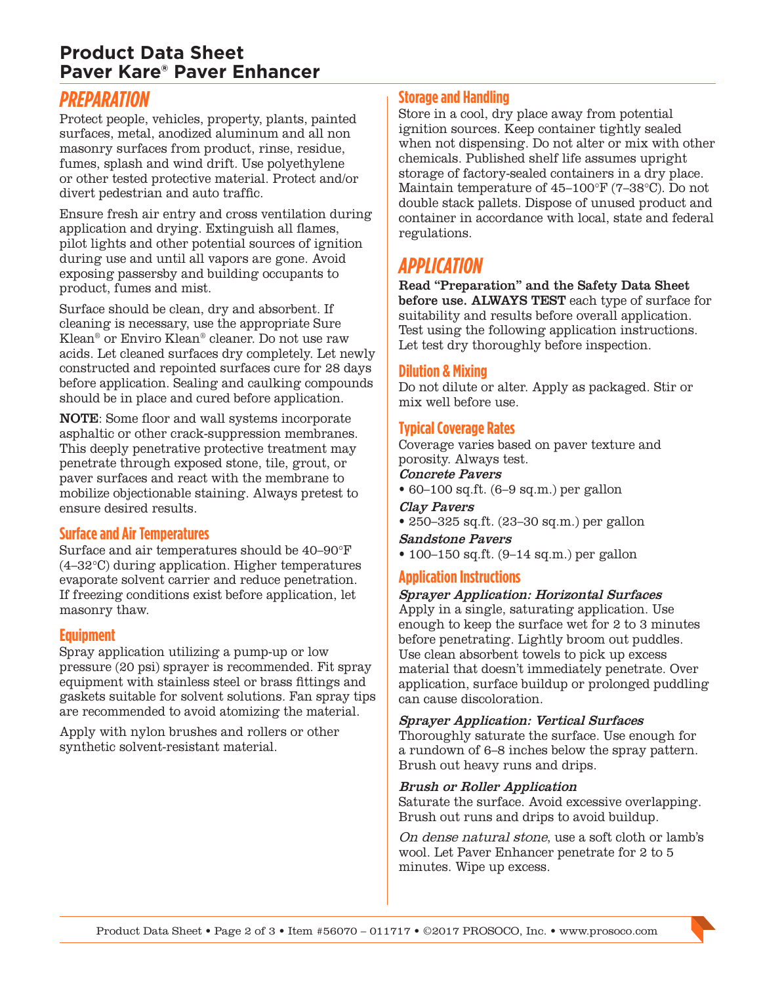## **Product Data Sheet Paver Kare® Paver Enhancer**

## *PREPARATION*

Protect people, vehicles, property, plants, painted surfaces, metal, anodized aluminum and all non masonry surfaces from product, rinse, residue, fumes, splash and wind drift. Use polyethylene or other tested protective material. Protect and/or divert pedestrian and auto traffic.

Ensure fresh air entry and cross ventilation during application and drying. Extinguish all flames, pilot lights and other potential sources of ignition during use and until all vapors are gone. Avoid exposing passersby and building occupants to product, fumes and mist.

Surface should be clean, dry and absorbent. If cleaning is necessary, use the appropriate Sure Klean® or Enviro Klean® cleaner. Do not use raw acids. Let cleaned surfaces dry completely. Let newly constructed and repointed surfaces cure for 28 days before application. Sealing and caulking compounds should be in place and cured before application.

NOTE: Some floor and wall systems incorporate asphaltic or other crack-suppression membranes. This deeply penetrative protective treatment may penetrate through exposed stone, tile, grout, or paver surfaces and react with the membrane to mobilize objectionable staining. Always pretest to ensure desired results.

#### **Surface and Air Temperatures**

Surface and air temperatures should be 40–90°F (4–32°C) during application. Higher temperatures evaporate solvent carrier and reduce penetration. If freezing conditions exist before application, let masonry thaw.

#### **Equipment**

Spray application utilizing a pump-up or low pressure (20 psi) sprayer is recommended. Fit spray equipment with stainless steel or brass fittings and gaskets suitable for solvent solutions. Fan spray tips are recommended to avoid atomizing the material.

Apply with nylon brushes and rollers or other synthetic solvent-resistant material.

#### **Storage and Handling**

Store in a cool, dry place away from potential ignition sources. Keep container tightly sealed when not dispensing. Do not alter or mix with other chemicals. Published shelf life assumes upright storage of factory-sealed containers in a dry place. Maintain temperature of 45–100°F (7–38°C). Do not double stack pallets. Dispose of unused product and container in accordance with local, state and federal regulations.

## *APPLICATION*

Read "Preparation" and the Safety Data Sheet before use. ALWAYS TEST each type of surface for suitability and results before overall application. Test using the following application instructions. Let test dry thoroughly before inspection.

#### **Dilution & Mixing**

Do not dilute or alter. Apply as packaged. Stir or mix well before use.

#### **Typical Coverage Rates**

Coverage varies based on paver texture and porosity. Always test.

Concrete Pavers

• 60–100 sq.ft. (6–9 sq.m.) per gallon

#### Clay Pavers

• 250–325 sq.ft. (23–30 sq.m.) per gallon

Sandstone Pavers

• 100–150 sq.ft. (9–14 sq.m.) per gallon

#### **Application Instructions**

#### Sprayer Application: Horizontal Surfaces

Apply in a single, saturating application. Use enough to keep the surface wet for 2 to 3 minutes before penetrating. Lightly broom out puddles. Use clean absorbent towels to pick up excess material that doesn't immediately penetrate. Over application, surface buildup or prolonged puddling can cause discoloration.

Sprayer Application: Vertical Surfaces

Thoroughly saturate the surface. Use enough for a rundown of 6–8 inches below the spray pattern. Brush out heavy runs and drips.

#### Brush or Roller Application

Saturate the surface. Avoid excessive overlapping. Brush out runs and drips to avoid buildup.

On dense natural stone, use a soft cloth or lamb's wool. Let Paver Enhancer penetrate for 2 to 5 minutes. Wipe up excess.